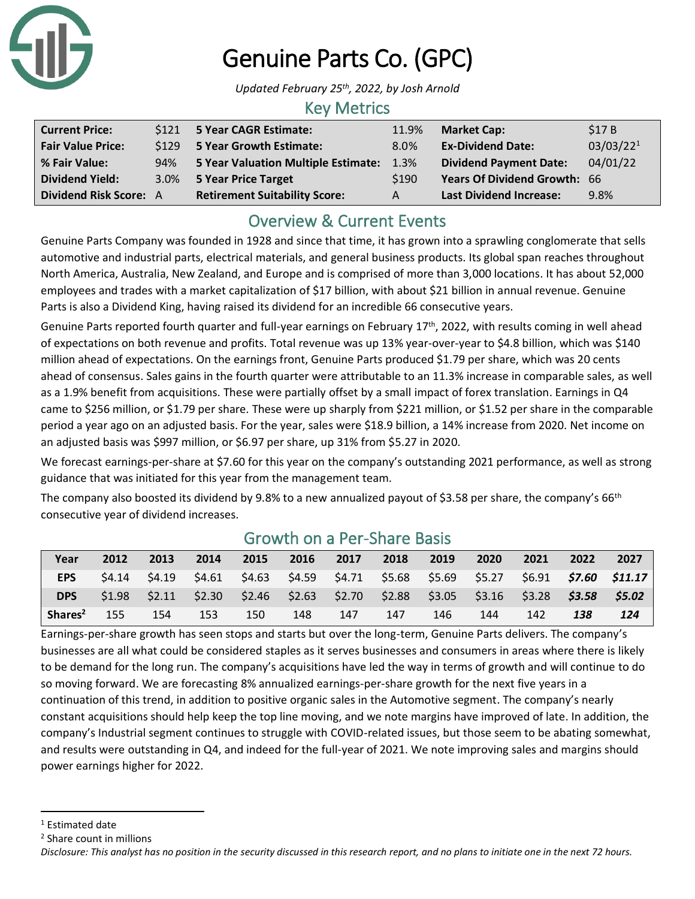

# Genuine Parts Co. (GPC)

*Updated February 25th, 2022, by Josh Arnold*

### Key Metrics

| <b>Current Price:</b>    |     | \$121 5 Year CAGR Estimate:          | 11.9% | <b>Market Cap:</b>             | \$17B                 |
|--------------------------|-----|--------------------------------------|-------|--------------------------------|-----------------------|
| <b>Fair Value Price:</b> |     | \$129 5 Year Growth Estimate:        | 8.0%  | <b>Ex-Dividend Date:</b>       | 03/03/22 <sup>1</sup> |
| % Fair Value:            | 94% | 5 Year Valuation Multiple Estimate:  | 1.3%  | <b>Dividend Payment Date:</b>  | 04/01/22              |
| <b>Dividend Yield:</b>   |     | 3.0% 5 Year Price Target             | \$190 | Years Of Dividend Growth: 66   |                       |
| Dividend Risk Score: A   |     | <b>Retirement Suitability Score:</b> | A     | <b>Last Dividend Increase:</b> | 9.8%                  |

# Overview & Current Events

Genuine Parts Company was founded in 1928 and since that time, it has grown into a sprawling conglomerate that sells automotive and industrial parts, electrical materials, and general business products. Its global span reaches throughout North America, Australia, New Zealand, and Europe and is comprised of more than 3,000 locations. It has about 52,000 employees and trades with a market capitalization of \$17 billion, with about \$21 billion in annual revenue. Genuine Parts is also a Dividend King, having raised its dividend for an incredible 66 consecutive years.

Genuine Parts reported fourth quarter and full-year earnings on February 17<sup>th</sup>, 2022, with results coming in well ahead of expectations on both revenue and profits. Total revenue was up 13% year-over-year to \$4.8 billion, which was \$140 million ahead of expectations. On the earnings front, Genuine Parts produced \$1.79 per share, which was 20 cents ahead of consensus. Sales gains in the fourth quarter were attributable to an 11.3% increase in comparable sales, as well as a 1.9% benefit from acquisitions. These were partially offset by a small impact of forex translation. Earnings in Q4 came to \$256 million, or \$1.79 per share. These were up sharply from \$221 million, or \$1.52 per share in the comparable period a year ago on an adjusted basis. For the year, sales were \$18.9 billion, a 14% increase from 2020. Net income on an adjusted basis was \$997 million, or \$6.97 per share, up 31% from \$5.27 in 2020.

We forecast earnings-per-share at \$7.60 for this year on the company's outstanding 2021 performance, as well as strong guidance that was initiated for this year from the management team.

The company also boosted its dividend by 9.8% to a new annualized payout of \$3.58 per share, the company's 66<sup>th</sup> consecutive year of dividend increases.

| Year                | 2012 | 2013 | 2014 | 2015 | 2016 | 2017 | 2018 | 2019 | 2020                                                                                                        | 2021 | 2022 | 2027 |
|---------------------|------|------|------|------|------|------|------|------|-------------------------------------------------------------------------------------------------------------|------|------|------|
| <b>EPS</b>          |      |      |      |      |      |      |      |      | \$4.14 \$4.19 \$4.61 \$4.63 \$4.59 \$4.71 \$5.68 \$5.69 \$5.27 \$6.91 \$7.60 \$11.17                        |      |      |      |
| DPS                 |      |      |      |      |      |      |      |      | \$1.98  \$2.11  \$2.30  \$2.46  \$2.63  \$2.70  \$2.88  \$3.05  \$3.16  \$3.28 <b>\$3.5<i>8</i>  \$5.02</b> |      |      |      |
| Shares <sup>2</sup> | 155  | 154  | 153  | 150  | 148  | 147  | 147  | 146  | 144                                                                                                         | 142  | 138  | 124  |

## Growth on a Per-Share Basis

Earnings-per-share growth has seen stops and starts but over the long-term, Genuine Parts delivers. The company's businesses are all what could be considered staples as it serves businesses and consumers in areas where there is likely to be demand for the long run. The company's acquisitions have led the way in terms of growth and will continue to do so moving forward. We are forecasting 8% annualized earnings-per-share growth for the next five years in a continuation of this trend, in addition to positive organic sales in the Automotive segment. The company's nearly constant acquisitions should help keep the top line moving, and we note margins have improved of late. In addition, the company's Industrial segment continues to struggle with COVID-related issues, but those seem to be abating somewhat, and results were outstanding in Q4, and indeed for the full-year of 2021. We note improving sales and margins should power earnings higher for 2022.

<sup>&</sup>lt;sup>1</sup> Estimated date

<sup>2</sup> Share count in millions

*Disclosure: This analyst has no position in the security discussed in this research report, and no plans to initiate one in the next 72 hours.*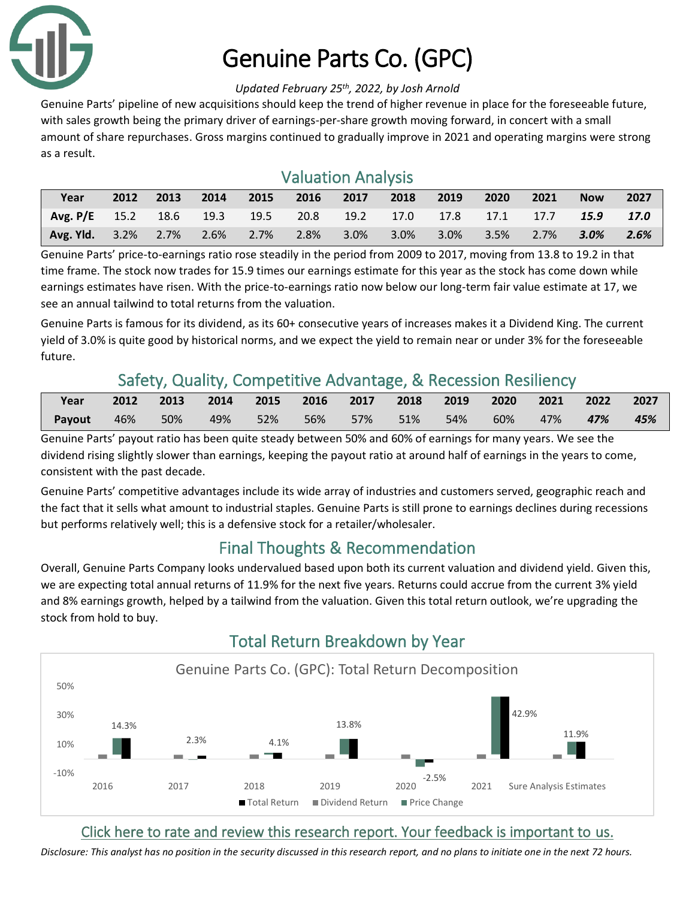

# Genuine Parts Co. (GPC)

#### *Updated February 25th, 2022, by Josh Arnold*

Genuine Parts' pipeline of new acquisitions should keep the trend of higher revenue in place for the foreseeable future, with sales growth being the primary driver of earnings-per-share growth moving forward, in concert with a small amount of share repurchases. Gross margins continued to gradually improve in 2021 and operating margins were strong as a result.

# Valuation Analysis

| Year                                                                  |  | 2012 2013 2014 |  |  | 2015 2016 2017 2018 2019 | $\sim$ 2020 $\sim$ | 2021 | <b>Now</b> | 2027 |
|-----------------------------------------------------------------------|--|----------------|--|--|--------------------------|--------------------|------|------------|------|
| Avg. P/E 15.2 18.6 19.3 19.5 20.8 19.2 17.0 17.8 17.1 17.7 15.9 17.0  |  |                |  |  |                          |                    |      |            |      |
| Avg. Yld. 3.2% 2.7% 2.6% 2.7% 2.8% 3.0% 3.0% 3.0% 3.5% 2.7% 3.0% 2.6% |  |                |  |  |                          |                    |      |            |      |

Genuine Parts' price-to-earnings ratio rose steadily in the period from 2009 to 2017, moving from 13.8 to 19.2 in that time frame. The stock now trades for 15.9 times our earnings estimate for this year as the stock has come down while earnings estimates have risen. With the price-to-earnings ratio now below our long-term fair value estimate at 17, we see an annual tailwind to total returns from the valuation.

Genuine Parts is famous for its dividend, as its 60+ consecutive years of increases makes it a Dividend King. The current yield of 3.0% is quite good by historical norms, and we expect the yield to remain near or under 3% for the foreseeable future.

# Safety, Quality, Competitive Advantage, & Recession Resiliency

| <b>Vear</b> | 2012 2013 2014 2015 2016 2017 2018 2019 2020 2021 2022 2027 |  |  |  |  |     |
|-------------|-------------------------------------------------------------|--|--|--|--|-----|
| Payout      | 46% 50% 49% 52% 56% 57% 51% 54% 60% 47% 47 <b>%</b>         |  |  |  |  | 45% |

Genuine Parts' payout ratio has been quite steady between 50% and 60% of earnings for many years. We see the dividend rising slightly slower than earnings, keeping the payout ratio at around half of earnings in the years to come, consistent with the past decade.

Genuine Parts' competitive advantages include its wide array of industries and customers served, geographic reach and the fact that it sells what amount to industrial staples. Genuine Parts is still prone to earnings declines during recessions but performs relatively well; this is a defensive stock for a retailer/wholesaler.

# Final Thoughts & Recommendation

Overall, Genuine Parts Company looks undervalued based upon both its current valuation and dividend yield. Given this, we are expecting total annual returns of 11.9% for the next five years. Returns could accrue from the current 3% yield and 8% earnings growth, helped by a tailwind from the valuation. Given this total return outlook, we're upgrading the stock from hold to buy.



# Total Return Breakdown by Year

## [Click here to rate and review this research report. Your feedback is important to us.](https://suredividend.typeform.com/to/e7Q96E)

*Disclosure: This analyst has no position in the security discussed in this research report, and no plans to initiate one in the next 72 hours.*